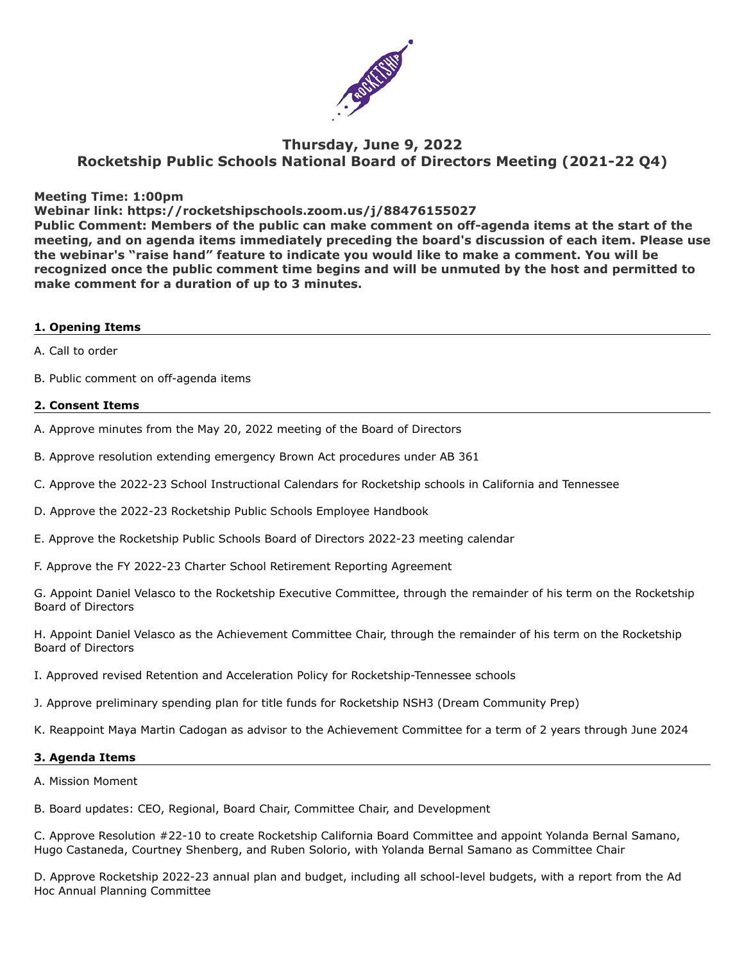

# **Thursday, June 9, 2022 Rocketship Public Schools National Board of Directors Meeting (2021-22 Q4)**

### **Meeting Time: 1:00pm**

### **Webinar link: https://rocketshipschools.zoom.us/j/88476155027**

**Public Comment: Members of the public can make comment on off-agenda items at the start of the meeting, and on agenda items immediately preceding the board's discussion of each item. Please use the webinar's "raise hand" feature to indicate you would like to make a comment. You will be recognized once the public comment time begins and will be unmuted by the host and permitted to make comment for a duration of up to 3 minutes.**

#### **1. Opening Items**

- A. Call to order
- B. Public comment on off-agenda items

# **2. Consent Items**

- A. Approve minutes from the May 20, 2022 meeting of the Board of Directors
- B. Approve resolution extending emergency Brown Act procedures under AB 361
- C. Approve the 2022-23 School Instructional Calendars for Rocketship schools in California and Tennessee
- D. Approve the 2022-23 Rocketship Public Schools Employee Handbook
- E. Approve the Rocketship Public Schools Board of Directors 2022-23 meeting calendar
- F. Approve the FY 2022-23 Charter School Retirement Reporting Agreement

G. Appoint Daniel Velasco to the Rocketship Executive Committee, through the remainder of his term on the Rocketship Board of Directors

H. Appoint Daniel Velasco as the Achievement Committee Chair, through the remainder of his term on the Rocketship Board of Directors

- I. Approved revised Retention and Acceleration Policy for Rocketship-Tennessee schools
- J. Approve preliminary spending plan for title funds for Rocketship NSH3 (Dream Community Prep)
- K. Reappoint Maya Martin Cadogan as advisor to the Achievement Committee for a term of 2 years through June 2024

# **3. Agenda Items**

- A. Mission Moment
- B. Board updates: CEO, Regional, Board Chair, Committee Chair, and Development

C. Approve Resolution #22-10 to create Rocketship California Board Committee and appoint Yolanda Bernal Samano, Hugo Castaneda, Courtney Shenberg, and Ruben Solorio, with Yolanda Bernal Samano as Committee Chair

D. Approve Rocketship 2022-23 annual plan and budget, including all school-level budgets, with a report from the Ad Hoc Annual Planning Committee